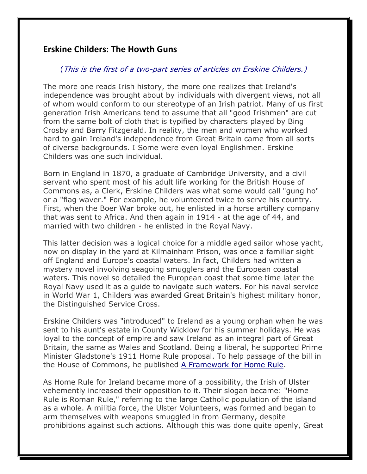## **Erskine Childers: The Howth Guns**

## (This is the first of a two-part series of articles on Erskine Childers.)

The more one reads Irish history, the more one realizes that Ireland's independence was brought about by individuals with divergent views, not all of whom would conform to our stereotype of an Irish patriot. Many of us first generation Irish Americans tend to assume that all "good Irishmen" are cut from the same bolt of cloth that is typified by characters played by Bing Crosby and Barry Fitzgerald. In reality, the men and women who worked hard to gain Ireland's independence from Great Britain came from all sorts of diverse backgrounds. I Some were even loyal Englishmen. Erskine Childers was one such individual.

Born in England in 1870, a graduate of Cambridge University, and a civil servant who spent most of his adult life working for the British House of Commons as, a Clerk, Erskine Childers was what some would call "gung ho" or a "flag waver." For example, he volunteered twice to serve his country. First, when the Boer War broke out, he enlisted in a horse artillery company that was sent to Africa. And then again in 1914 - at the age of 44, and married with two children - he enlisted in the Royal Navy.

This latter decision was a logical choice for a middle aged sailor whose yacht, now on display in the yard at Kilmainham Prison, was once a familiar sight off England and Europe's coastal waters. In fact, Childers had written a mystery novel involving seagoing smugglers and the European coastal waters. This novel so detailed the European coast that some time later the Royal Navy used it as a guide to navigate such waters. For his naval service in World War 1, Childers was awarded Great Britain's highest military honor, the Distinguished Service Cross.

Erskine Childers was "introduced" to Ireland as a young orphan when he was sent to his aunt's estate in County Wicklow for his summer holidays. He was loyal to the concept of empire and saw Ireland as an integral part of Great Britain, the same as Wales and Scotland. Being a liberal, he supported Prime Minister Gladstone's 1911 Home Rule proposal. To help passage of the bill in the House of Commons, he published A Framework for Home Rule.

As Home Rule for Ireland became more of a possibility, the Irish of Ulster vehemently increased their opposition to it. Their slogan became: "Home Rule is Roman Rule," referring to the large Catholic population of the island as a whole. A militia force, the Ulster Volunteers, was formed and began to arm themselves with weapons smuggled in from Germany, despite prohibitions against such actions. Although this was done quite openly, Great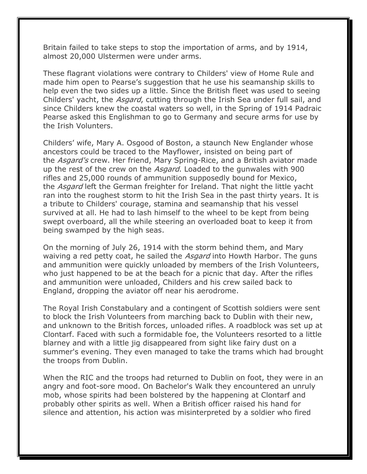Britain failed to take steps to stop the importation of arms, and by 1914, almost 20,000 Ulstermen were under arms.

These flagrant violations were contrary to Childers' view of Home Rule and made him open to Pearse's suggestion that he use his seamanship skills to help even the two sides up a little. Since the British fleet was used to seeing Childers' yacht, the *Asgard*, cutting through the Irish Sea under full sail, and since Childers knew the coastal waters so well, in the Spring of 1914 Padraic Pearse asked this Englishman to go to Germany and secure arms for use by the Irish Volunters.

Childers' wife, Mary A. Osgood of Boston, a staunch New Englander whose ancestors could be traced to the Mayflower, insisted on being part of the *Asgard's* crew. Her friend, Mary Spring-Rice, and a British aviator made up the rest of the crew on the *Asgard*. Loaded to the gunwales with 900 rifles and 25,000 rounds of ammunition supposedly bound for Mexico, the Asgard left the German freighter for Ireland. That night the little yacht ran into the roughest storm to hit the Irish Sea in the past thirty years. It is a tribute to Childers' courage, stamina and seamanship that his vessel survived at all. He had to lash himself to the wheel to be kept from being swept overboard, all the while steering an overloaded boat to keep it from being swamped by the high seas.

On the morning of July 26, 1914 with the storm behind them, and Mary waiving a red petty coat, he sailed the *Asgard* into Howth Harbor. The guns and ammunition were quickly unloaded by members of the Irish Volunteers, who just happened to be at the beach for a picnic that day. After the rifles and ammunition were unloaded, Childers and his crew sailed back to England, dropping the aviator off near his aerodrome.

The Royal Irish Constabulary and a contingent of Scottish soldiers were sent to block the Irish Volunteers from marching back to Dublin with their new, and unknown to the British forces, unloaded rifles. A roadblock was set up at Clontarf. Faced with such a formidable foe, the Volunteers resorted to a little blarney and with a little jig disappeared from sight like fairy dust on a summer's evening. They even managed to take the trams which had brought the troops from Dublin.

When the RIC and the troops had returned to Dublin on foot, they were in an angry and foot-sore mood. On Bachelor's Walk they encountered an unruly mob, whose spirits had been bolstered by the happening at Clontarf and probably other spirits as well. When a British officer raised his hand for silence and attention, his action was misinterpreted by a soldier who fired